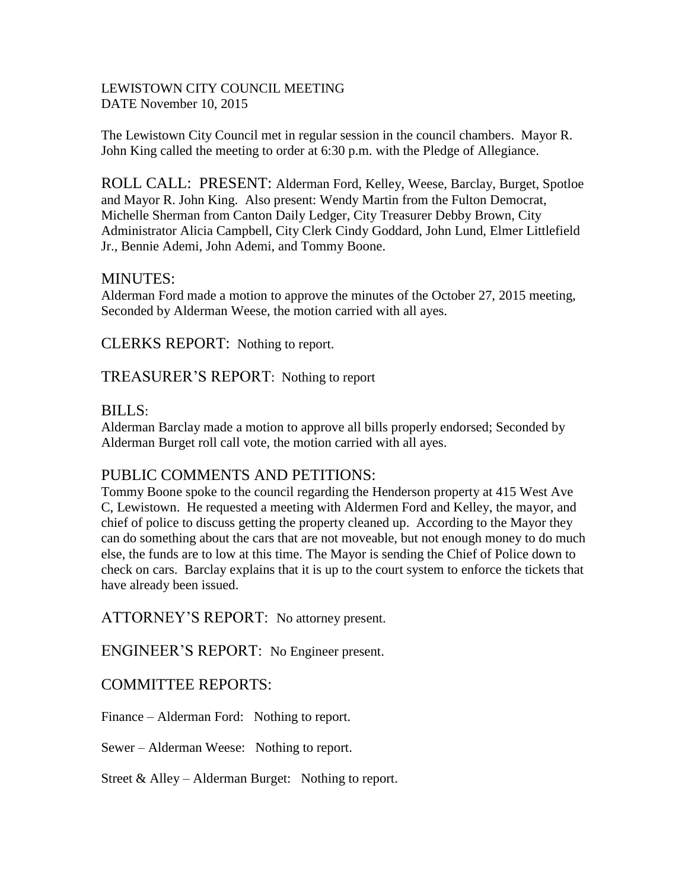#### LEWISTOWN CITY COUNCIL MEETING DATE November 10, 2015

The Lewistown City Council met in regular session in the council chambers. Mayor R. John King called the meeting to order at 6:30 p.m. with the Pledge of Allegiance.

ROLL CALL: PRESENT: Alderman Ford, Kelley, Weese, Barclay, Burget, Spotloe and Mayor R. John King. Also present: Wendy Martin from the Fulton Democrat, Michelle Sherman from Canton Daily Ledger, City Treasurer Debby Brown, City Administrator Alicia Campbell, City Clerk Cindy Goddard, John Lund, Elmer Littlefield Jr., Bennie Ademi, John Ademi, and Tommy Boone.

### MINUTES:

Alderman Ford made a motion to approve the minutes of the October 27, 2015 meeting, Seconded by Alderman Weese, the motion carried with all ayes.

CLERKS REPORT: Nothing to report.

TREASURER'S REPORT: Nothing to report

### BILLS:

Alderman Barclay made a motion to approve all bills properly endorsed; Seconded by Alderman Burget roll call vote, the motion carried with all ayes.

# PUBLIC COMMENTS AND PETITIONS:

Tommy Boone spoke to the council regarding the Henderson property at 415 West Ave C, Lewistown. He requested a meeting with Aldermen Ford and Kelley, the mayor, and chief of police to discuss getting the property cleaned up. According to the Mayor they can do something about the cars that are not moveable, but not enough money to do much else, the funds are to low at this time. The Mayor is sending the Chief of Police down to check on cars. Barclay explains that it is up to the court system to enforce the tickets that have already been issued.

ATTORNEY'S REPORT: No attorney present.

ENGINEER'S REPORT: No Engineer present.

## COMMITTEE REPORTS:

Finance – Alderman Ford: Nothing to report.

Sewer – Alderman Weese: Nothing to report.

Street  $&$  Alley – Alderman Burget: Nothing to report.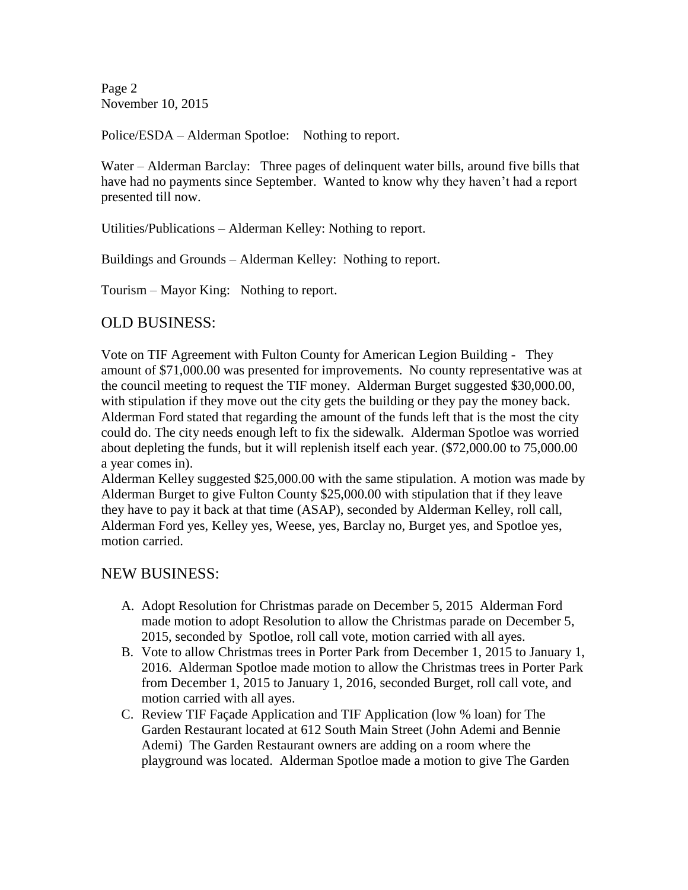Page 2 November 10, 2015

Police/ESDA – Alderman Spotloe: Nothing to report.

Water – Alderman Barclay: Three pages of delinquent water bills, around five bills that have had no payments since September. Wanted to know why they haven't had a report presented till now.

Utilities/Publications – Alderman Kelley: Nothing to report.

Buildings and Grounds – Alderman Kelley: Nothing to report.

Tourism – Mayor King: Nothing to report.

### OLD BUSINESS:

Vote on TIF Agreement with Fulton County for American Legion Building - They amount of \$71,000.00 was presented for improvements. No county representative was at the council meeting to request the TIF money. Alderman Burget suggested \$30,000.00, with stipulation if they move out the city gets the building or they pay the money back. Alderman Ford stated that regarding the amount of the funds left that is the most the city could do. The city needs enough left to fix the sidewalk. Alderman Spotloe was worried about depleting the funds, but it will replenish itself each year. (\$72,000.00 to 75,000.00 a year comes in).

Alderman Kelley suggested \$25,000.00 with the same stipulation. A motion was made by Alderman Burget to give Fulton County \$25,000.00 with stipulation that if they leave they have to pay it back at that time (ASAP), seconded by Alderman Kelley, roll call, Alderman Ford yes, Kelley yes, Weese, yes, Barclay no, Burget yes, and Spotloe yes, motion carried.

### NEW BUSINESS:

- A. Adopt Resolution for Christmas parade on December 5, 2015 Alderman Ford made motion to adopt Resolution to allow the Christmas parade on December 5, 2015, seconded by Spotloe, roll call vote, motion carried with all ayes.
- B. Vote to allow Christmas trees in Porter Park from December 1, 2015 to January 1, 2016. Alderman Spotloe made motion to allow the Christmas trees in Porter Park from December 1, 2015 to January 1, 2016, seconded Burget, roll call vote, and motion carried with all ayes.
- C. Review TIF Façade Application and TIF Application (low % loan) for The Garden Restaurant located at 612 South Main Street (John Ademi and Bennie Ademi) The Garden Restaurant owners are adding on a room where the playground was located. Alderman Spotloe made a motion to give The Garden